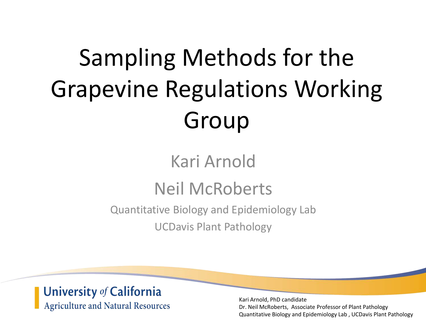# Sampling Methods for the Grapevine Regulations Working Group

### Kari Arnold

### Neil McRoberts

Quantitative Biology and Epidemiology Lab

UCDavis Plant Pathology

### University of California **Agriculture and Natural Resources**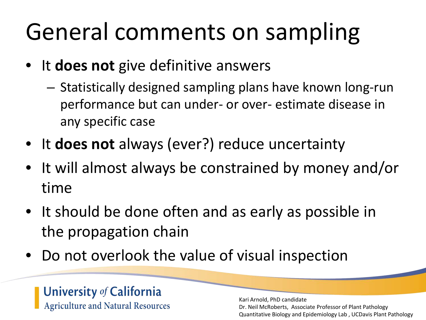# General comments on sampling

- It **does not** give definitive answers
	- Statistically designed sampling plans have known long-run performance but can under- or over- estimate disease in any specific case
- It **does not** always (ever?) reduce uncertainty
- It will almost always be constrained by money and/or time
- It should be done often and as early as possible in the propagation chain
- Do not overlook the value of visual inspection

### **University of California Agriculture and Natural Resources**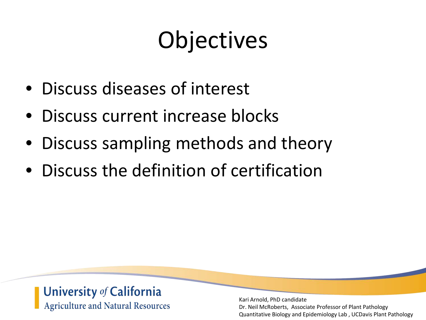# **Objectives**

- Discuss diseases of interest
- Discuss current increase blocks
- Discuss sampling methods and theory
- Discuss the definition of certification

### University of California **Agriculture and Natural Resources**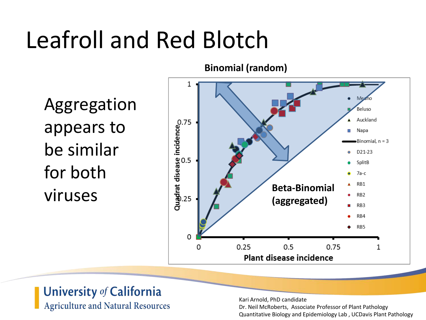# Leafroll and Red Blotch

Aggregation appears to be similar for both viruses



### University of California **Agriculture and Natural Resources**

Kari Arnold, PhD candidate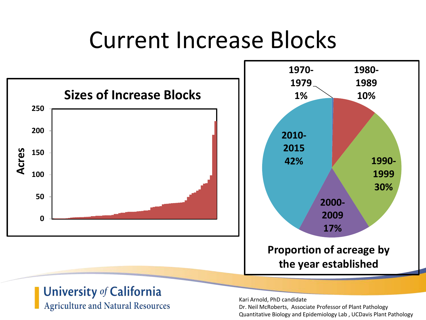## Current Increase Blocks





### University of California

**Agriculture and Natural Resources** 

Kari Arnold, PhD candidate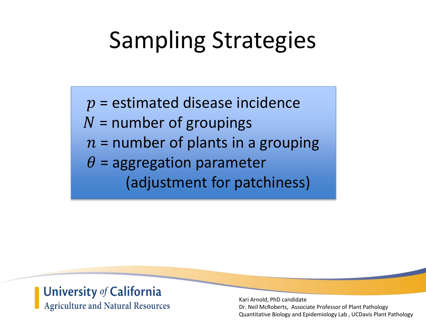# Sampling Strategies

 $p =$  estimated disease incidence  $N =$  number of groupings  $n =$  number of plants in a grouping  $\theta$  = aggregation parameter (adjustment for patchiness)

#### University of California **Agriculture and Natural Resources**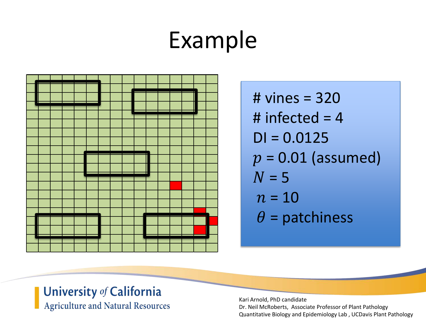## Example



# vines = 320 # infected  $= 4$  $DI = 0.0125$  $p = 0.01$  (assumed)  $N = 5$  $n = 10$  $\theta$  = patchiness

### University of California **Agriculture and Natural Resources**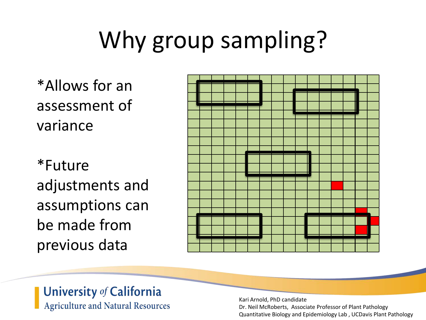# Why group sampling?

\*Allows for an assessment of variance

\*Future adjustments and assumptions can be made from previous data



### University of California **Agriculture and Natural Resources**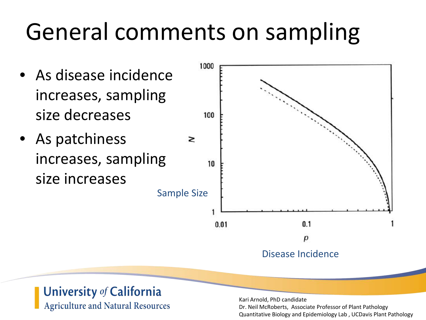# General comments on sampling

- As disease incidence increases, sampling size decreases
- As patchiness increases, sampling size increases



#### University of California **Agriculture and Natural Resources**

Kari Arnold, PhD candidate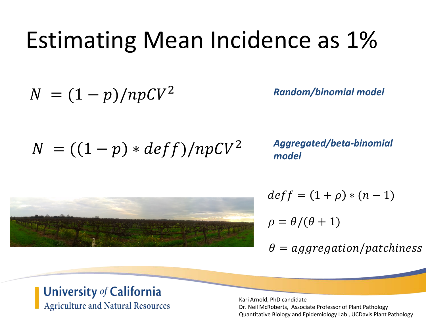## Estimating Mean Incidence as 1%

$$
N = (1-p)/npCV^2
$$

*Random/binomial model*

 $N = ((1 - p) * def f)/npCV^2$ 

*Aggregated/beta-binomial model*



$$
deff = (1 + \rho) * (n - 1)
$$

$$
\rho = \theta/(\theta + 1)
$$

$$
\theta = aggregation/patches
$$

#### University of California **Agriculture and Natural Resources**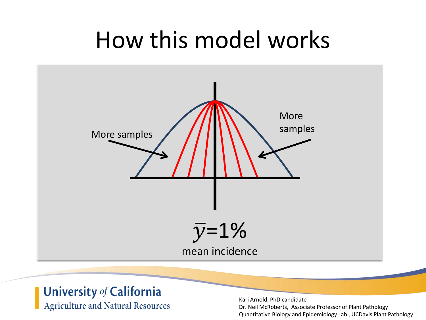## How this model works



### University of California **Agriculture and Natural Resources**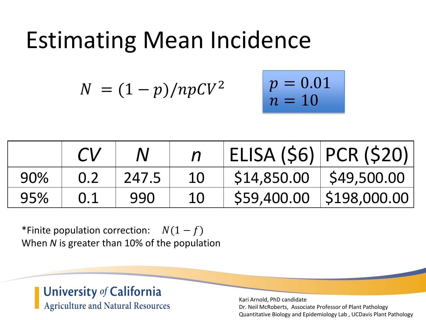## Estimating Mean Incidence

$$
N = (1-p)/npCV^2 \qquad p = 0.01
$$

$$
p = 0.01
$$
  

$$
n = 10
$$

|     |     |       |    |                           | ELISA (\$6)   PCR (\$20) |
|-----|-----|-------|----|---------------------------|--------------------------|
| 90% | 0.2 | 247.5 | 10 | $$14,850.00$ $$49,500.00$ |                          |
| 95% | 0.1 | 990   | 10 |                           | \$59,400.00 \$198,000.00 |

\*Finite population correction:  $N(1 - f)$ When *N* is greater than 10% of the population

#### University of California **Agriculture and Natural Resources**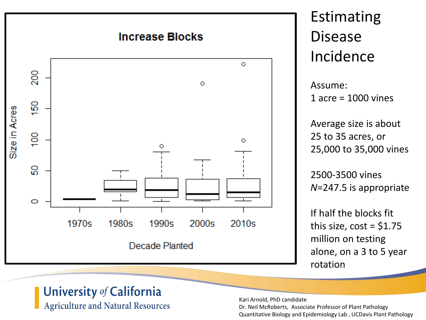

### Estimating Disease Incidence

Assume: 1 acre = 1000 vines

Average size is about 25 to 35 acres, or 25,000 to 35,000 vines

2500-3500 vines *N*=247.5 is appropriate

If half the blocks fit this size,  $cost = $1.75$ million on testing alone, on a 3 to 5 year rotation

### University of California

**Agriculture and Natural Resources** 

Kari Arnold, PhD candidate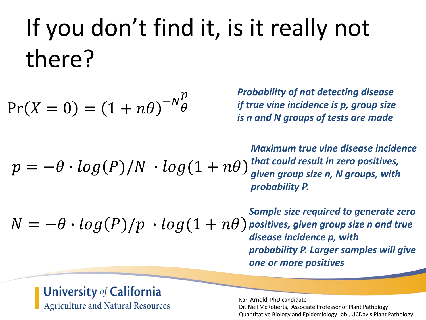# If you don't find it, is it really not there?

$$
\Pr(X=0) = (1+n\theta)^{-N\frac{p}{\theta}}
$$

*Probability of not detecting disease if true vine incidence is p, group size is n and N groups of tests are made*

 $p = -\theta \cdot log(P)/N \cdot log(1 + n\theta)$ *Maximum true vine disease incidence that could result in zero positives, given group size n, N groups, with probability P.*

 $N = -\theta \cdot log(P)/p \cdot log(1 + n\theta)$ 

*Sample size required to generate zero positives, given group size n and true disease incidence p, with probability P. Larger samples will give one or more positives*

#### **University of California Agriculture and Natural Resources**

Kari Arnold, PhD candidate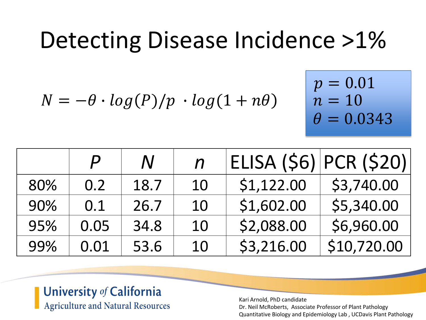## Detecting Disease Incidence >1%

 $N = -\theta \cdot log(P)/p \cdot log(1 + n\theta)$ 

$$
p = 0.01
$$
  

$$
n = 10
$$
  

$$
\theta = 0.0343
$$

|     | $\boldsymbol{P}$ | $\bm{N}$ | $\boldsymbol{n}$ |            | ELISA (\$6) PCR (\$20) |
|-----|------------------|----------|------------------|------------|------------------------|
| 80% | 0.2              | 18.7     | 10               | \$1,122.00 | \$3,740.00             |
| 90% | 0.1              | 26.7     | 10               | \$1,602.00 | \$5,340.00             |
| 95% | 0.05             | 34.8     | 10               | \$2,088.00 | \$6,960.00             |
| 99% | 0.01             | 53.6     | 10               | \$3,216.00 | \$10,720.00            |

### University of California **Agriculture and Natural Resources**

Kari Arnold, PhD candidate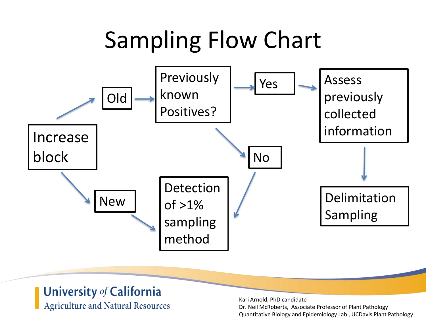# Sampling Flow Chart



#### University of California **Agriculture and Natural Resources**

Kari Arnold, PhD candidate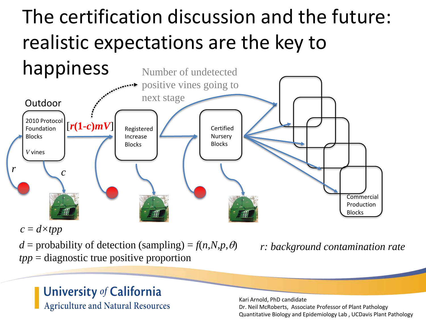## The certification discussion and the future: realistic expectations are the key to



 $c = d \times tpp$ 

 $d =$  probability of detection (sampling) =  $f(n,N,p,\theta)$ *tpp* = diagnostic true positive proportion

*r: background contamination rate*

### University of California **Agriculture and Natural Resources**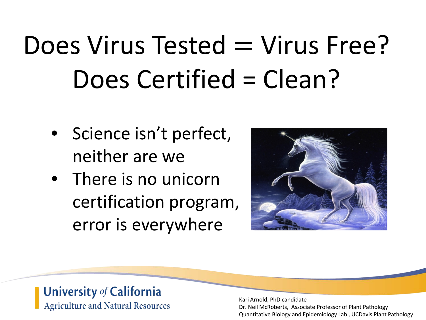# $Does Virus Tested = Virus Free?$ Does Certified = Clean?

- Science isn't perfect, neither are we
- There is no unicorn certification program, error is everywhere



### University of California **Agriculture and Natural Resources**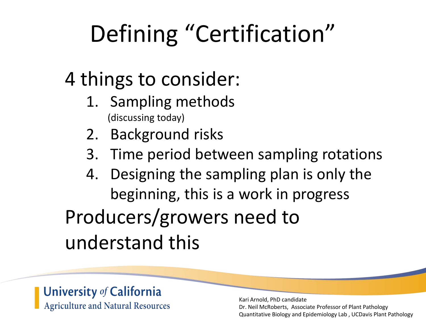# Defining "Certification"

### 4 things to consider:

- 1. Sampling methods (discussing today)
- 2. Background risks
- 3. Time period between sampling rotations
- 4. Designing the sampling plan is only the beginning, this is a work in progress Producers/growers need to understand this

### University of California **Agriculture and Natural Resources**